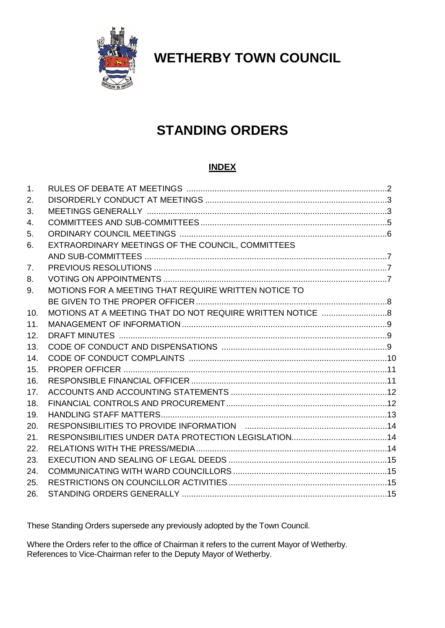

**WETHERBY TOWN COUNCIL**

# **STANDING ORDERS**

# **INDEX**

| 1.  |                                                      |  |
|-----|------------------------------------------------------|--|
| 2.  |                                                      |  |
| 3.  |                                                      |  |
| 4.  |                                                      |  |
| 5.  |                                                      |  |
| 6.  | EXTRAORDINARY MEETINGS OF THE COUNCIL, COMMITTEES    |  |
|     |                                                      |  |
| 7.  |                                                      |  |
| 8.  |                                                      |  |
| 9.  | MOTIONS FOR A MEETING THAT REQUIRE WRITTEN NOTICE TO |  |
|     |                                                      |  |
| 10. |                                                      |  |
| 11. |                                                      |  |
| 12. |                                                      |  |
| 13. |                                                      |  |
| 14. |                                                      |  |
| 15. |                                                      |  |
| 16. |                                                      |  |
| 17. |                                                      |  |
| 18. |                                                      |  |
| 19. |                                                      |  |
| 20. |                                                      |  |
| 21. |                                                      |  |
| 22. |                                                      |  |
| 23. |                                                      |  |
| 24. |                                                      |  |
| 25. |                                                      |  |
| 26. |                                                      |  |

These Standing Orders supersede any previously adopted by the Town Council.

Where the Orders refer to the office of Chairman it refers to the current Mayor of Wetherby. References to Vice-Chairman refer to the Deputy Mayor of Wetherby.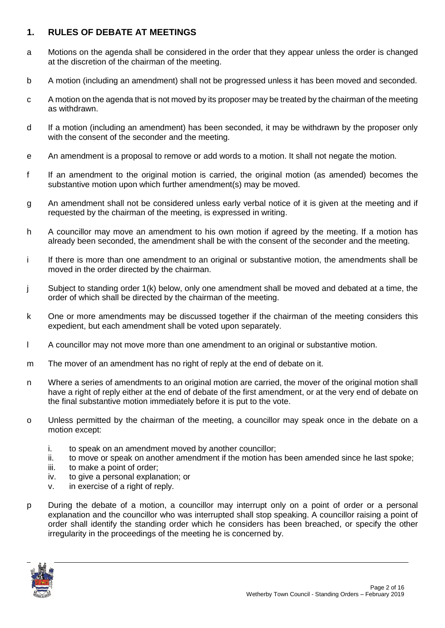# **1. RULES OF DEBATE AT MEETINGS**

- a Motions on the agenda shall be considered in the order that they appear unless the order is changed at the discretion of the chairman of the meeting.
- b A motion (including an amendment) shall not be progressed unless it has been moved and seconded.
- c A motion on the agenda that is not moved by its proposer may be treated by the chairman of the meeting as withdrawn.
- d If a motion (including an amendment) has been seconded, it may be withdrawn by the proposer only with the consent of the seconder and the meeting.
- e An amendment is a proposal to remove or add words to a motion. It shall not negate the motion.
- f If an amendment to the original motion is carried, the original motion (as amended) becomes the substantive motion upon which further amendment(s) may be moved.
- g An amendment shall not be considered unless early verbal notice of it is given at the meeting and if requested by the chairman of the meeting, is expressed in writing.
- h A councillor may move an amendment to his own motion if agreed by the meeting. If a motion has already been seconded, the amendment shall be with the consent of the seconder and the meeting.
- i If there is more than one amendment to an original or substantive motion, the amendments shall be moved in the order directed by the chairman.
- j Subject to standing order 1(k) below, only one amendment shall be moved and debated at a time, the order of which shall be directed by the chairman of the meeting.
- k One or more amendments may be discussed together if the chairman of the meeting considers this expedient, but each amendment shall be voted upon separately.
- l A councillor may not move more than one amendment to an original or substantive motion.
- m The mover of an amendment has no right of reply at the end of debate on it.
- n Where a series of amendments to an original motion are carried, the mover of the original motion shall have a right of reply either at the end of debate of the first amendment, or at the very end of debate on the final substantive motion immediately before it is put to the vote.
- o Unless permitted by the chairman of the meeting, a councillor may speak once in the debate on a motion except:
	- i. to speak on an amendment moved by another councillor;
	- ii. to move or speak on another amendment if the motion has been amended since he last spoke;
	- iii. to make a point of order;
	- iv. to give a personal explanation; or
	- v. in exercise of a right of reply.
- p During the debate of a motion, a councillor may interrupt only on a point of order or a personal explanation and the councillor who was interrupted shall stop speaking. A councillor raising a point of order shall identify the standing order which he considers has been breached, or specify the other irregularity in the proceedings of the meeting he is concerned by.

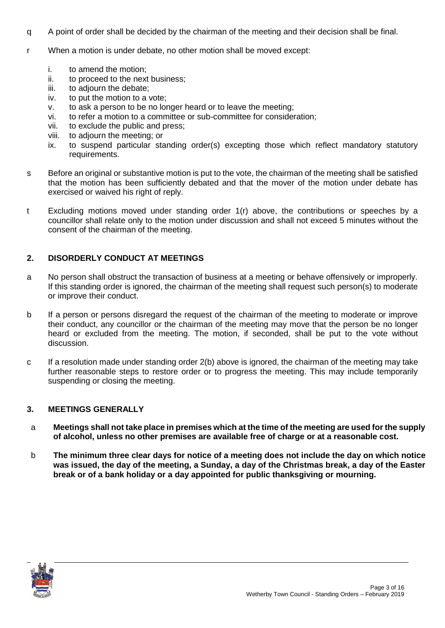- q A point of order shall be decided by the chairman of the meeting and their decision shall be final.
- r When a motion is under debate, no other motion shall be moved except:
	- i. to amend the motion;
	- ii. to proceed to the next business;
	- iii. to adjourn the debate;
	- iv. to put the motion to a vote;
	- v. to ask a person to be no longer heard or to leave the meeting;
	- vi. to refer a motion to a committee or sub-committee for consideration;
	- vii. to exclude the public and press;
	- viii. to adjourn the meeting; or
	- ix. to suspend particular standing order(s) excepting those which reflect mandatory statutory requirements.
- s Before an original or substantive motion is put to the vote, the chairman of the meeting shall be satisfied that the motion has been sufficiently debated and that the mover of the motion under debate has exercised or waived his right of reply.
- t Excluding motions moved under standing order 1(r) above, the contributions or speeches by a councillor shall relate only to the motion under discussion and shall not exceed 5 minutes without the consent of the chairman of the meeting.

## **2. DISORDERLY CONDUCT AT MEETINGS**

- a No person shall obstruct the transaction of business at a meeting or behave offensively or improperly. If this standing order is ignored, the chairman of the meeting shall request such person(s) to moderate or improve their conduct.
- b If a person or persons disregard the request of the chairman of the meeting to moderate or improve their conduct, any councillor or the chairman of the meeting may move that the person be no longer heard or excluded from the meeting. The motion, if seconded, shall be put to the vote without discussion.
- c If a resolution made under standing order 2(b) above is ignored, the chairman of the meeting may take further reasonable steps to restore order or to progress the meeting. This may include temporarily suspending or closing the meeting.

#### **3. MEETINGS GENERALLY**

- a **Meetings shall not take place in premises which at the time of the meeting are used for the supply of alcohol, unless no other premises are available free of charge or at a reasonable cost.**
- b **The minimum three clear days for notice of a meeting does not include the day on which notice was issued, the day of the meeting, a Sunday, a day of the Christmas break, a day of the Easter break or of a bank holiday or a day appointed for public thanksgiving or mourning.**

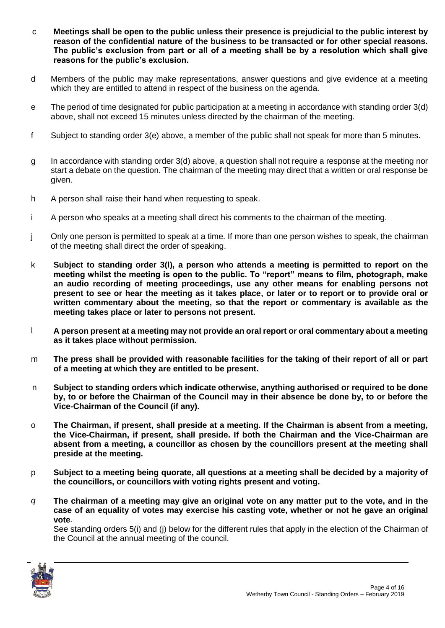- c **Meetings shall be open to the public unless their presence is prejudicial to the public interest by reason of the confidential nature of the business to be transacted or for other special reasons. The public's exclusion from part or all of a meeting shall be by a resolution which shall give reasons for the public's exclusion.**
- d Members of the public may make representations, answer questions and give evidence at a meeting which they are entitled to attend in respect of the business on the agenda.
- e The period of time designated for public participation at a meeting in accordance with standing order 3(d) above, shall not exceed 15 minutes unless directed by the chairman of the meeting.
- f Subject to standing order 3(e) above, a member of the public shall not speak for more than 5 minutes.
- g In accordance with standing order 3(d) above, a question shall not require a response at the meeting nor start a debate on the question. The chairman of the meeting may direct that a written or oral response be given.
- h A person shall raise their hand when requesting to speak.
- i A person who speaks at a meeting shall direct his comments to the chairman of the meeting.
- j Only one person is permitted to speak at a time. If more than one person wishes to speak, the chairman of the meeting shall direct the order of speaking.
- k **Subject to standing order 3(l), a person who attends a meeting is permitted to report on the meeting whilst the meeting is open to the public. To "report" means to film, photograph, make an audio recording of meeting proceedings, use any other means for enabling persons not present to see or hear the meeting as it takes place, or later or to report or to provide oral or written commentary about the meeting, so that the report or commentary is available as the meeting takes place or later to persons not present.**
- l **A person present at a meeting may not provide an oral report or oral commentary about a meeting as it takes place without permission.**
- m **The press shall be provided with reasonable facilities for the taking of their report of all or part of a meeting at which they are entitled to be present.**
- n **Subject to standing orders which indicate otherwise, anything authorised or required to be done by, to or before the Chairman of the Council may in their absence be done by, to or before the Vice-Chairman of the Council (if any).**
- o **The Chairman, if present, shall preside at a meeting. If the Chairman is absent from a meeting, the Vice-Chairman, if present, shall preside. If both the Chairman and the Vice-Chairman are absent from a meeting, a councillor as chosen by the councillors present at the meeting shall preside at the meeting.**
- p **Subject to a meeting being quorate, all questions at a meeting shall be decided by a majority of the councillors, or councillors with voting rights present and voting.**
- *q* **The chairman of a meeting may give an original vote on any matter put to the vote, and in the case of an equality of votes may exercise his casting vote, whether or not he gave an original vote***.*

See standing orders 5(i) and (i) below for the different rules that apply in the election of the Chairman of the Council at the annual meeting of the council.

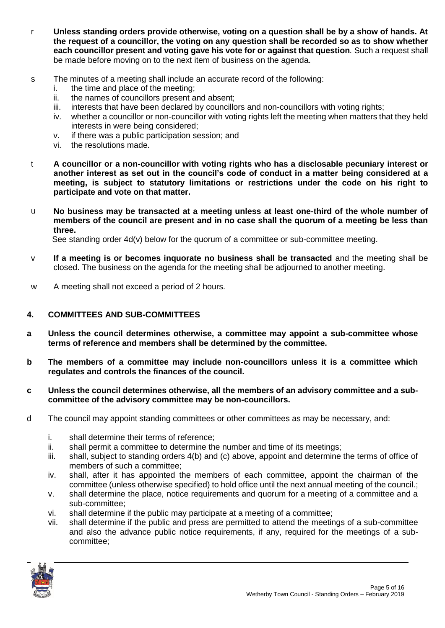- r **Unless standing orders provide otherwise, voting on a question shall be by a show of hands. At the request of a councillor, the voting on any question shall be recorded so as to show whether each councillor present and voting gave his vote for or against that question***.* Such a request shall be made before moving on to the next item of business on the agenda.
- s The minutes of a meeting shall include an accurate record of the following:
	- i. the time and place of the meeting;
	- ii. the names of councillors present and absent;
	- iii. interests that have been declared by councillors and non-councillors with voting rights;
	- iv. whether a councillor or non-councillor with voting rights left the meeting when matters that they held interests in were being considered;
	- v. if there was a public participation session; and
	- vi. the resolutions made.
- t **A councillor or a non-councillor with voting rights who has a disclosable pecuniary interest or another interest as set out in the council's code of conduct in a matter being considered at a meeting, is subject to statutory limitations or restrictions under the code on his right to participate and vote on that matter.**
- u **No business may be transacted at a meeting unless at least one-third of the whole number of members of the council are present and in no case shall the quorum of a meeting be less than three.**

See standing order 4d(v) below for the quorum of a committee or sub-committee meeting.

- v **If a meeting is or becomes inquorate no business shall be transacted** and the meeting shall be closed. The business on the agenda for the meeting shall be adjourned to another meeting.
- w A meeting shall not exceed a period of 2 hours.

## **4. COMMITTEES AND SUB-COMMITTEES**

- **a Unless the council determines otherwise, a committee may appoint a sub-committee whose terms of reference and members shall be determined by the committee.**
- **b The members of a committee may include non-councillors unless it is a committee which regulates and controls the finances of the council.**
- **c Unless the council determines otherwise, all the members of an advisory committee and a subcommittee of the advisory committee may be non-councillors.**
- d The council may appoint standing committees or other committees as may be necessary, and:
	- i. shall determine their terms of reference;
	- ii. shall permit a committee to determine the number and time of its meetings;
	- iii. shall, subject to standing orders 4(b) and (c) above, appoint and determine the terms of office of members of such a committee;
	- iv. shall, after it has appointed the members of each committee, appoint the chairman of the committee (unless otherwise specified) to hold office until the next annual meeting of the council.;
	- v. shall determine the place, notice requirements and quorum for a meeting of a committee and a sub-committee;
	- vi. shall determine if the public may participate at a meeting of a committee;
	- vii. shall determine if the public and press are permitted to attend the meetings of a sub-committee and also the advance public notice requirements, if any, required for the meetings of a subcommittee;

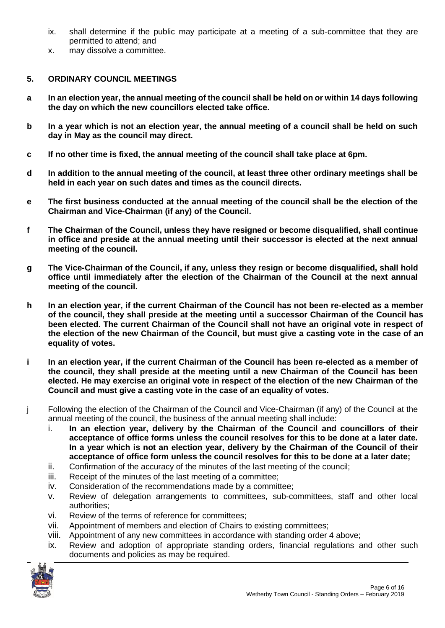- ix. shall determine if the public may participate at a meeting of a sub-committee that they are permitted to attend; and
- x. may dissolve a committee.

## **5. ORDINARY COUNCIL MEETINGS**

- **a In an election year, the annual meeting of the council shall be held on or within 14 days following the day on which the new councillors elected take office.**
- **b In a year which is not an election year, the annual meeting of a council shall be held on such day in May as the council may direct.**
- **c If no other time is fixed, the annual meeting of the council shall take place at 6pm.**
- **d In addition to the annual meeting of the council, at least three other ordinary meetings shall be held in each year on such dates and times as the council directs.**
- **e The first business conducted at the annual meeting of the council shall be the election of the Chairman and Vice-Chairman (if any) of the Council.**
- **f The Chairman of the Council, unless they have resigned or become disqualified, shall continue in office and preside at the annual meeting until their successor is elected at the next annual meeting of the council.**
- **g The Vice-Chairman of the Council, if any, unless they resign or become disqualified, shall hold office until immediately after the election of the Chairman of the Council at the next annual meeting of the council.**
- **h In an election year, if the current Chairman of the Council has not been re-elected as a member of the council, they shall preside at the meeting until a successor Chairman of the Council has been elected. The current Chairman of the Council shall not have an original vote in respect of the election of the new Chairman of the Council, but must give a casting vote in the case of an equality of votes.**
- **i In an election year, if the current Chairman of the Council has been re-elected as a member of the council, they shall preside at the meeting until a new Chairman of the Council has been elected. He may exercise an original vote in respect of the election of the new Chairman of the Council and must give a casting vote in the case of an equality of votes.**
- j Following the election of the Chairman of the Council and Vice-Chairman (if any) of the Council at the annual meeting of the council, the business of the annual meeting shall include:
	- i. **In an election year, delivery by the Chairman of the Council and councillors of their acceptance of office forms unless the council resolves for this to be done at a later date. In a year which is not an election year, delivery by the Chairman of the Council of their acceptance of office form unless the council resolves for this to be done at a later date;**
	- ii. Confirmation of the accuracy of the minutes of the last meeting of the council;
	- iii. Receipt of the minutes of the last meeting of a committee;
	- iv. Consideration of the recommendations made by a committee;
	- v. Review of delegation arrangements to committees, sub-committees, staff and other local authorities;
	- vi. Review of the terms of reference for committees;
	- vii. Appointment of members and election of Chairs to existing committees;
	- viii. Appointment of any new committees in accordance with standing order 4 above;
	- ix. Review and adoption of appropriate standing orders, financial regulations and other such documents and policies as may be required.

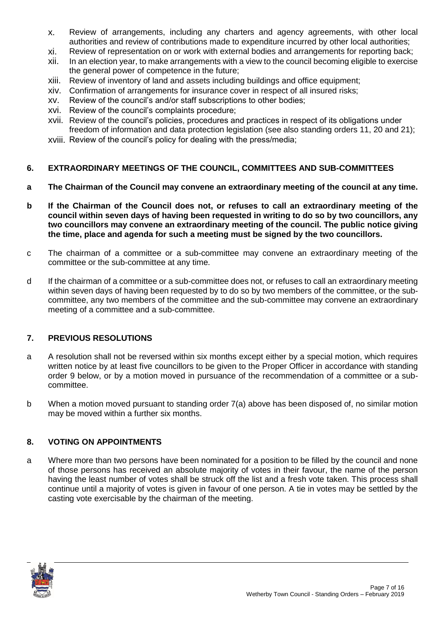- x. Review of arrangements, including any charters and agency agreements, with other local authorities and review of contributions made to expenditure incurred by other local authorities;
- xi. Review of representation on or work with external bodies and arrangements for reporting back;
- xii. In an election year, to make arrangements with a view to the council becoming eligible to exercise the general power of competence in the future;
- xiii. Review of inventory of land and assets including buildings and office equipment;
- xiv. Confirmation of arrangements for insurance cover in respect of all insured risks;
- xv. Review of the council's and/or staff subscriptions to other bodies;
- xvi. Review of the council's complaints procedure;
- xvii. Review of the council's policies, procedures and practices in respect of its obligations under freedom of information and data protection legislation (see also standing orders 11, 20 and 21);
- xviii. Review of the council's policy for dealing with the press/media;

#### **6. EXTRAORDINARY MEETINGS OF THE COUNCIL, COMMITTEES AND SUB-COMMITTEES**

- **a The Chairman of the Council may convene an extraordinary meeting of the council at any time.**
- **b If the Chairman of the Council does not, or refuses to call an extraordinary meeting of the council within seven days of having been requested in writing to do so by two councillors, any two councillors may convene an extraordinary meeting of the council. The public notice giving the time, place and agenda for such a meeting must be signed by the two councillors.**
- c The chairman of a committee or a sub-committee may convene an extraordinary meeting of the committee or the sub-committee at any time.
- d If the chairman of a committee or a sub-committee does not, or refuses to call an extraordinary meeting within seven days of having been requested by to do so by two members of the committee, or the subcommittee, any two members of the committee and the sub-committee may convene an extraordinary meeting of a committee and a sub-committee.

#### **7. PREVIOUS RESOLUTIONS**

- a A resolution shall not be reversed within six months except either by a special motion, which requires written notice by at least five councillors to be given to the Proper Officer in accordance with standing order 9 below, or by a motion moved in pursuance of the recommendation of a committee or a subcommittee.
- b When a motion moved pursuant to standing order 7(a) above has been disposed of, no similar motion may be moved within a further six months.

#### **8. VOTING ON APPOINTMENTS**

a Where more than two persons have been nominated for a position to be filled by the council and none of those persons has received an absolute majority of votes in their favour, the name of the person having the least number of votes shall be struck off the list and a fresh vote taken. This process shall continue until a majority of votes is given in favour of one person. A tie in votes may be settled by the casting vote exercisable by the chairman of the meeting.

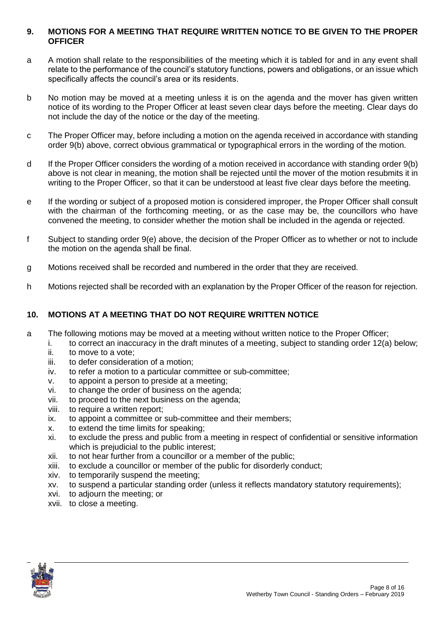## **9. MOTIONS FOR A MEETING THAT REQUIRE WRITTEN NOTICE TO BE GIVEN TO THE PROPER OFFICER**

- a A motion shall relate to the responsibilities of the meeting which it is tabled for and in any event shall relate to the performance of the council's statutory functions, powers and obligations, or an issue which specifically affects the council's area or its residents.
- b No motion may be moved at a meeting unless it is on the agenda and the mover has given written notice of its wording to the Proper Officer at least seven clear days before the meeting. Clear days do not include the day of the notice or the day of the meeting.
- c The Proper Officer may, before including a motion on the agenda received in accordance with standing order 9(b) above, correct obvious grammatical or typographical errors in the wording of the motion.
- d If the Proper Officer considers the wording of a motion received in accordance with standing order 9(b) above is not clear in meaning, the motion shall be rejected until the mover of the motion resubmits it in writing to the Proper Officer, so that it can be understood at least five clear days before the meeting.
- e If the wording or subject of a proposed motion is considered improper, the Proper Officer shall consult with the chairman of the forthcoming meeting, or as the case may be, the councillors who have convened the meeting, to consider whether the motion shall be included in the agenda or rejected.
- f Subject to standing order 9(e) above, the decision of the Proper Officer as to whether or not to include the motion on the agenda shall be final.
- g Motions received shall be recorded and numbered in the order that they are received.
- h Motions rejected shall be recorded with an explanation by the Proper Officer of the reason for rejection.

# **10. MOTIONS AT A MEETING THAT DO NOT REQUIRE WRITTEN NOTICE**

- a The following motions may be moved at a meeting without written notice to the Proper Officer;
	- i. to correct an inaccuracy in the draft minutes of a meeting, subject to standing order 12(a) below;
	- ii. to move to a vote;
	- iii. to defer consideration of a motion;
	- iv. to refer a motion to a particular committee or sub-committee;
	- v. to appoint a person to preside at a meeting;
	- vi. to change the order of business on the agenda;
	- vii. to proceed to the next business on the agenda;
	- viii. to require a written report;
	- ix. to appoint a committee or sub-committee and their members;
	- x. to extend the time limits for speaking;
	- xi. to exclude the press and public from a meeting in respect of confidential or sensitive information which is prejudicial to the public interest;
	- xii. to not hear further from a councillor or a member of the public;
	- xiii. to exclude a councillor or member of the public for disorderly conduct;
	- xiv. to temporarily suspend the meeting;
	- xv. to suspend a particular standing order (unless it reflects mandatory statutory requirements);
	- xvi. to adjourn the meeting; or
	- xvii. to close a meeting.

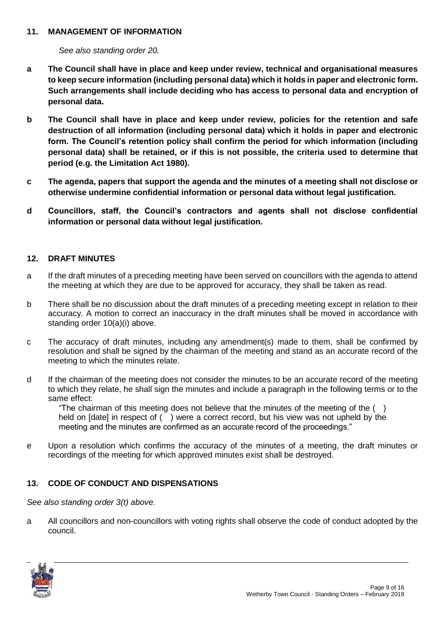#### **11. MANAGEMENT OF INFORMATION**

*See also standing order 20.*

- **a The Council shall have in place and keep under review, technical and organisational measures to keep secure information (including personal data) which it holds in paper and electronic form. Such arrangements shall include deciding who has access to personal data and encryption of personal data.**
- **b The Council shall have in place and keep under review, policies for the retention and safe destruction of all information (including personal data) which it holds in paper and electronic form. The Council's retention policy shall confirm the period for which information (including personal data) shall be retained, or if this is not possible, the criteria used to determine that period (e.g. the Limitation Act 1980).**
- **c The agenda, papers that support the agenda and the minutes of a meeting shall not disclose or otherwise undermine confidential information or personal data without legal justification.**
- **d Councillors, staff, the Council's contractors and agents shall not disclose confidential information or personal data without legal justification.**

### **12. DRAFT MINUTES**

- a If the draft minutes of a preceding meeting have been served on councillors with the agenda to attend the meeting at which they are due to be approved for accuracy, they shall be taken as read.
- b There shall be no discussion about the draft minutes of a preceding meeting except in relation to their accuracy. A motion to correct an inaccuracy in the draft minutes shall be moved in accordance with standing order 10(a)(i) above.
- c The accuracy of draft minutes, including any amendment(s) made to them, shall be confirmed by resolution and shall be signed by the chairman of the meeting and stand as an accurate record of the meeting to which the minutes relate.
- d If the chairman of the meeting does not consider the minutes to be an accurate record of the meeting to which they relate, he shall sign the minutes and include a paragraph in the following terms or to the same effect:

"The chairman of this meeting does not believe that the minutes of the meeting of the  $( )$ held on [date] in respect of () were a correct record, but his view was not upheld by the meeting and the minutes are confirmed as an accurate record of the proceedings."

e Upon a resolution which confirms the accuracy of the minutes of a meeting, the draft minutes or recordings of the meeting for which approved minutes exist shall be destroyed.

#### **13. CODE OF CONDUCT AND DISPENSATIONS**

*See also standing order 3(t) above.* 

a All councillors and non-councillors with voting rights shall observe the code of conduct adopted by the council.

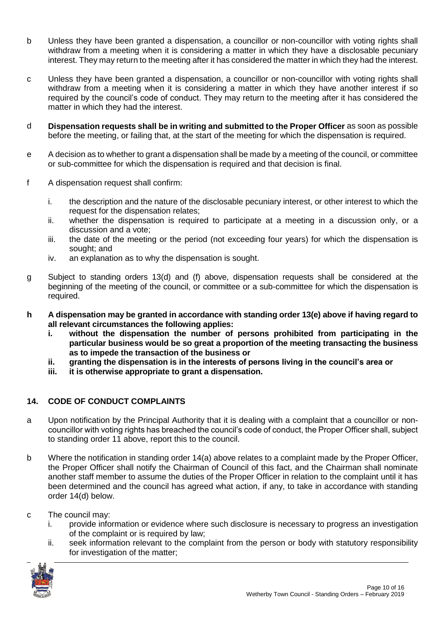- b Unless they have been granted a dispensation, a councillor or non-councillor with voting rights shall withdraw from a meeting when it is considering a matter in which they have a disclosable pecuniary interest. They may return to the meeting after it has considered the matter in which they had the interest.
- c Unless they have been granted a dispensation, a councillor or non-councillor with voting rights shall withdraw from a meeting when it is considering a matter in which they have another interest if so required by the council's code of conduct. They may return to the meeting after it has considered the matter in which they had the interest.
- d **Dispensation requests shall be in writing and submitted to the Proper Officer** as soon as possible before the meeting, or failing that, at the start of the meeting for which the dispensation is required.
- e A decision as to whether to grant a dispensation shall be made by a meeting of the council, or committee or sub-committee for which the dispensation is required and that decision is final.
- f A dispensation request shall confirm:
	- i. the description and the nature of the disclosable pecuniary interest, or other interest to which the request for the dispensation relates;
	- ii. whether the dispensation is required to participate at a meeting in a discussion only, or a discussion and a vote;
	- iii. the date of the meeting or the period (not exceeding four years) for which the dispensation is sought; and
	- iv. an explanation as to why the dispensation is sought.
- g Subject to standing orders 13(d) and (f) above, dispensation requests shall be considered at the beginning of the meeting of the council, or committee or a sub-committee for which the dispensation is required.
- **h A dispensation may be granted in accordance with standing order 13(e) above if having regard to all relevant circumstances the following applies:**
	- **i. without the dispensation the number of persons prohibited from participating in the particular business would be so great a proportion of the meeting transacting the business as to impede the transaction of the business or**
	- **ii. granting the dispensation is in the interests of persons living in the council's area or**
	- **iii. it is otherwise appropriate to grant a dispensation.**

## **14. CODE OF CONDUCT COMPLAINTS**

- a Upon notification by the Principal Authority that it is dealing with a complaint that a councillor or noncouncillor with voting rights has breached the council's code of conduct, the Proper Officer shall, subject to standing order 11 above, report this to the council.
- b Where the notification in standing order 14(a) above relates to a complaint made by the Proper Officer, the Proper Officer shall notify the Chairman of Council of this fact, and the Chairman shall nominate another staff member to assume the duties of the Proper Officer in relation to the complaint until it has been determined and the council has agreed what action, if any, to take in accordance with standing order 14(d) below.
- c The council may:
	- i. provide information or evidence where such disclosure is necessary to progress an investigation of the complaint or is required by law;
	- ii. seek information relevant to the complaint from the person or body with statutory responsibility for investigation of the matter;

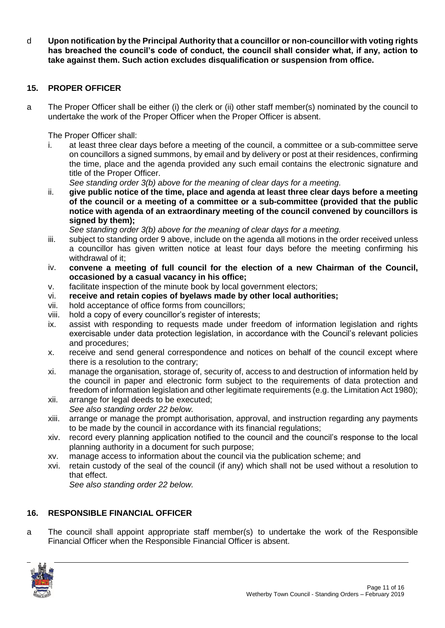d **Upon notification by the Principal Authority that a councillor or non-councillor with voting rights has breached the council's code of conduct, the council shall consider what, if any, action to take against them. Such action excludes disqualification or suspension from office.**

## **15. PROPER OFFICER**

a The Proper Officer shall be either (i) the clerk or (ii) other staff member(s) nominated by the council to undertake the work of the Proper Officer when the Proper Officer is absent.

The Proper Officer shall:

i. at least three clear days before a meeting of the council, a committee or a sub-committee serve on councillors a signed summons, by email and by delivery or post at their residences, confirming the time, place and the agenda provided any such email contains the electronic signature and title of the Proper Officer.

*See standing order 3(b) above for the meaning of clear days for a meeting.*

ii. **give public notice of the time, place and agenda at least three clear days before a meeting of the council or a meeting of a committee or a sub-committee (provided that the public notice with agenda of an extraordinary meeting of the council convened by councillors is signed by them);**

*See standing order 3(b) above for the meaning of clear days for a meeting.*

- iii. subject to standing order 9 above, include on the agenda all motions in the order received unless a councillor has given written notice at least four days before the meeting confirming his withdrawal of it:
- iv. **convene a meeting of full council for the election of a new Chairman of the Council, occasioned by a casual vacancy in his office;**
- v. facilitate inspection of the minute book by local government electors;
- vi. **receive and retain copies of byelaws made by other local authorities;**
- vii. hold acceptance of office forms from councillors;
- viii. hold a copy of every councillor's register of interests;
- ix. assist with responding to requests made under freedom of information legislation and rights exercisable under data protection legislation, in accordance with the Council's relevant policies and procedures;
- x. receive and send general correspondence and notices on behalf of the council except where there is a resolution to the contrary;
- xi. manage the organisation, storage of, security of, access to and destruction of information held by the council in paper and electronic form subject to the requirements of data protection and freedom of information legislation and other legitimate requirements (e.g. the Limitation Act 1980);
- xii. arrange for legal deeds to be executed; *See also standing order 22 below.*
- xiii. arrange or manage the prompt authorisation, approval, and instruction regarding any payments to be made by the council in accordance with its financial regulations;
- xiv. record every planning application notified to the council and the council's response to the local planning authority in a document for such purpose;
- xv. manage access to information about the council via the publication scheme; and
- xvi. retain custody of the seal of the council (if any) which shall not be used without a resolution to that effect.

*See also standing order 22 below.*

#### **16. RESPONSIBLE FINANCIAL OFFICER**

a The council shall appoint appropriate staff member(s) to undertake the work of the Responsible Financial Officer when the Responsible Financial Officer is absent.

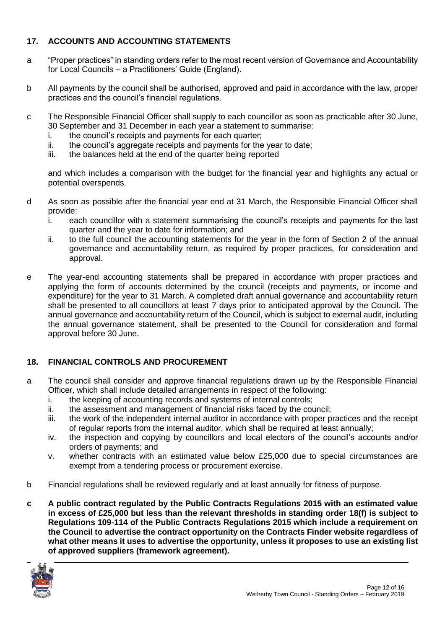## **17. ACCOUNTS AND ACCOUNTING STATEMENTS**

- a "Proper practices" in standing orders refer to the most recent version of Governance and Accountability for Local Councils – a Practitioners' Guide (England).
- b All payments by the council shall be authorised, approved and paid in accordance with the law, proper practices and the council's financial regulations.
- c The Responsible Financial Officer shall supply to each councillor as soon as practicable after 30 June, 30 September and 31 December in each year a statement to summarise:
	- i. the council's receipts and payments for each quarter;
	- ii. the council's aggregate receipts and payments for the year to date;
	- iii. the balances held at the end of the quarter being reported

and which includes a comparison with the budget for the financial year and highlights any actual or potential overspends.

- d As soon as possible after the financial year end at 31 March, the Responsible Financial Officer shall provide:
	- i. each councillor with a statement summarising the council's receipts and payments for the last quarter and the year to date for information; and
	- ii. to the full council the accounting statements for the year in the form of Section 2 of the annual governance and accountability return, as required by proper practices, for consideration and approval.
- e The year-end accounting statements shall be prepared in accordance with proper practices and applying the form of accounts determined by the council (receipts and payments, or income and expenditure) for the year to 31 March. A completed draft annual governance and accountability return shall be presented to all councillors at least 7 days prior to anticipated approval by the Council. The annual governance and accountability return of the Council, which is subject to external audit, including the annual governance statement, shall be presented to the Council for consideration and formal approval before 30 June.

## **18. FINANCIAL CONTROLS AND PROCUREMENT**

- a The council shall consider and approve financial regulations drawn up by the Responsible Financial Officer, which shall include detailed arrangements in respect of the following:
	- i. the keeping of accounting records and systems of internal controls;
	- ii. the assessment and management of financial risks faced by the council;
	- iii. the work of the independent internal auditor in accordance with proper practices and the receipt of regular reports from the internal auditor, which shall be required at least annually;
	- iv. the inspection and copying by councillors and local electors of the council's accounts and/or orders of payments; and
	- v. whether contracts with an estimated value below £25,000 due to special circumstances are exempt from a tendering process or procurement exercise.
- b Financial regulations shall be reviewed regularly and at least annually for fitness of purpose.
- **c A public contract regulated by the Public Contracts Regulations 2015 with an estimated value in excess of £25,000 but less than the relevant thresholds in standing order 18(f) is subject to Regulations 109-114 of the Public Contracts Regulations 2015 which include a requirement on the Council to advertise the contract opportunity on the Contracts Finder website regardless of what other means it uses to advertise the opportunity, unless it proposes to use an existing list of approved suppliers (framework agreement).**

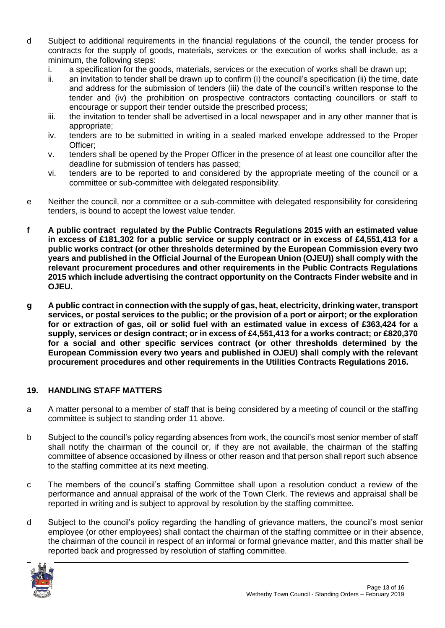- d Subject to additional requirements in the financial regulations of the council, the tender process for contracts for the supply of goods, materials, services or the execution of works shall include, as a minimum, the following steps:
	- i. a specification for the goods, materials, services or the execution of works shall be drawn up;
	- ii. an invitation to tender shall be drawn up to confirm (i) the council's specification (ii) the time, date and address for the submission of tenders (iii) the date of the council's written response to the tender and (iv) the prohibition on prospective contractors contacting councillors or staff to encourage or support their tender outside the prescribed process;
	- iii. the invitation to tender shall be advertised in a local newspaper and in any other manner that is appropriate;
	- iv. tenders are to be submitted in writing in a sealed marked envelope addressed to the Proper Officer;
	- v. tenders shall be opened by the Proper Officer in the presence of at least one councillor after the deadline for submission of tenders has passed;
	- vi. tenders are to be reported to and considered by the appropriate meeting of the council or a committee or sub-committee with delegated responsibility.
- e Neither the council, nor a committee or a sub-committee with delegated responsibility for considering tenders, is bound to accept the lowest value tender.
- **f A public contract regulated by the Public Contracts Regulations 2015 with an estimated value in excess of £181,302 for a public service or supply contract or in excess of £4,551,413 for a public works contract (or other thresholds determined by the European Commission every two years and published in the Official Journal of the European Union (OJEU)) shall comply with the relevant procurement procedures and other requirements in the Public Contracts Regulations 2015 which include advertising the contract opportunity on the Contracts Finder website and in OJEU.**
- **g A public contract in connection with the supply of gas, heat, electricity, drinking water, transport services, or postal services to the public; or the provision of a port or airport; or the exploration for or extraction of gas, oil or solid fuel with an estimated value in excess of £363,424 for a supply, services or design contract; or in excess of £4,551,413 for a works contract; or £820,370 for a social and other specific services contract (or other thresholds determined by the European Commission every two years and published in OJEU) shall comply with the relevant procurement procedures and other requirements in the Utilities Contracts Regulations 2016.**

## **19. HANDLING STAFF MATTERS**

- a A matter personal to a member of staff that is being considered by a meeting of council or the staffing committee is subject to standing order 11 above.
- b Subject to the council's policy regarding absences from work, the council's most senior member of staff shall notify the chairman of the council or, if they are not available, the chairman of the staffing committee of absence occasioned by illness or other reason and that person shall report such absence to the staffing committee at its next meeting.
- c The members of the council's staffing Committee shall upon a resolution conduct a review of the performance and annual appraisal of the work of the Town Clerk. The reviews and appraisal shall be reported in writing and is subject to approval by resolution by the staffing committee.
- d Subject to the council's policy regarding the handling of grievance matters, the council's most senior employee (or other employees) shall contact the chairman of the staffing committee or in their absence, the chairman of the council in respect of an informal or formal grievance matter, and this matter shall be reported back and progressed by resolution of staffing committee.

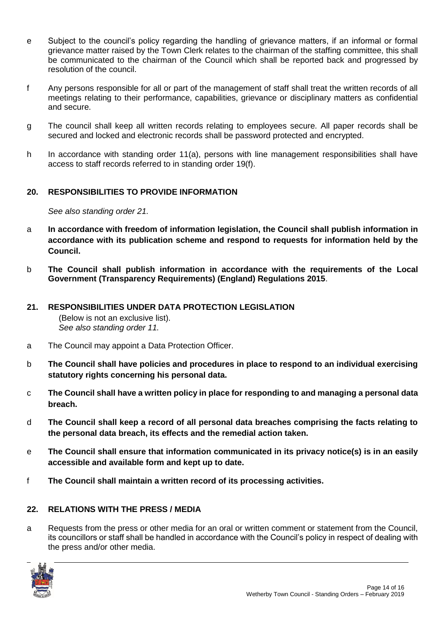- e Subject to the council's policy regarding the handling of grievance matters, if an informal or formal grievance matter raised by the Town Clerk relates to the chairman of the staffing committee, this shall be communicated to the chairman of the Council which shall be reported back and progressed by resolution of the council.
- f Any persons responsible for all or part of the management of staff shall treat the written records of all meetings relating to their performance, capabilities, grievance or disciplinary matters as confidential and secure.
- g The council shall keep all written records relating to employees secure. All paper records shall be secured and locked and electronic records shall be password protected and encrypted.
- h In accordance with standing order 11(a), persons with line management responsibilities shall have access to staff records referred to in standing order 19(f).

# **20. RESPONSIBILITIES TO PROVIDE INFORMATION**

*See also standing order 21.*

- a **In accordance with freedom of information legislation, the Council shall publish information in accordance with its publication scheme and respond to requests for information held by the Council.**
- b **The Council shall publish information in accordance with the requirements of the Local Government (Transparency Requirements) (England) Regulations 2015**.

# **21. RESPONSIBILITIES UNDER DATA PROTECTION LEGISLATION**

(Below is not an exclusive list). *See also standing order 11.*

- a The Council may appoint a Data Protection Officer.
- b **The Council shall have policies and procedures in place to respond to an individual exercising statutory rights concerning his personal data.**
- c **The Council shall have a written policy in place for responding to and managing a personal data breach.**
- d **The Council shall keep a record of all personal data breaches comprising the facts relating to the personal data breach, its effects and the remedial action taken.**
- e **The Council shall ensure that information communicated in its privacy notice(s) is in an easily accessible and available form and kept up to date.**
- f **The Council shall maintain a written record of its processing activities.**

## **22. RELATIONS WITH THE PRESS / MEDIA**

a Requests from the press or other media for an oral or written comment or statement from the Council, its councillors or staff shall be handled in accordance with the Council's policy in respect of dealing with the press and/or other media.

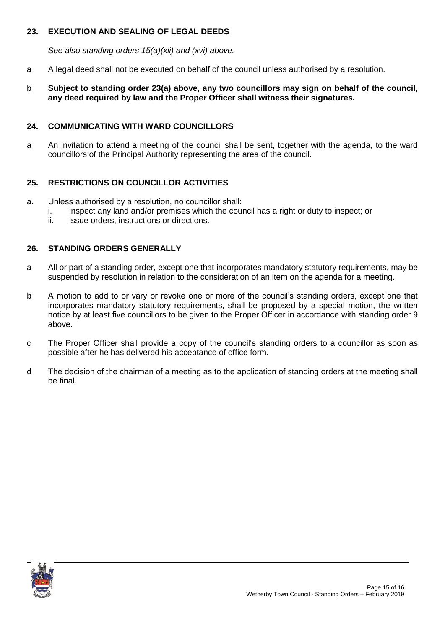## **23. EXECUTION AND SEALING OF LEGAL DEEDS**

*See also standing orders 15(a)(xii) and (xvi) above.*

- a A legal deed shall not be executed on behalf of the council unless authorised by a resolution.
- b **Subject to standing order 23(a) above, any two councillors may sign on behalf of the council, any deed required by law and the Proper Officer shall witness their signatures.**

## **24. COMMUNICATING WITH WARD COUNCILLORS**

a An invitation to attend a meeting of the council shall be sent, together with the agenda, to the ward councillors of the Principal Authority representing the area of the council.

## **25. RESTRICTIONS ON COUNCILLOR ACTIVITIES**

- a. Unless authorised by a resolution, no councillor shall:
	- i. inspect any land and/or premises which the council has a right or duty to inspect; or
	- ii. issue orders, instructions or directions.

## **26. STANDING ORDERS GENERALLY**

- a All or part of a standing order, except one that incorporates mandatory statutory requirements, may be suspended by resolution in relation to the consideration of an item on the agenda for a meeting.
- b A motion to add to or vary or revoke one or more of the council's standing orders, except one that incorporates mandatory statutory requirements, shall be proposed by a special motion, the written notice by at least five councillors to be given to the Proper Officer in accordance with standing order 9 above.
- c The Proper Officer shall provide a copy of the council's standing orders to a councillor as soon as possible after he has delivered his acceptance of office form.
- d The decision of the chairman of a meeting as to the application of standing orders at the meeting shall be final.